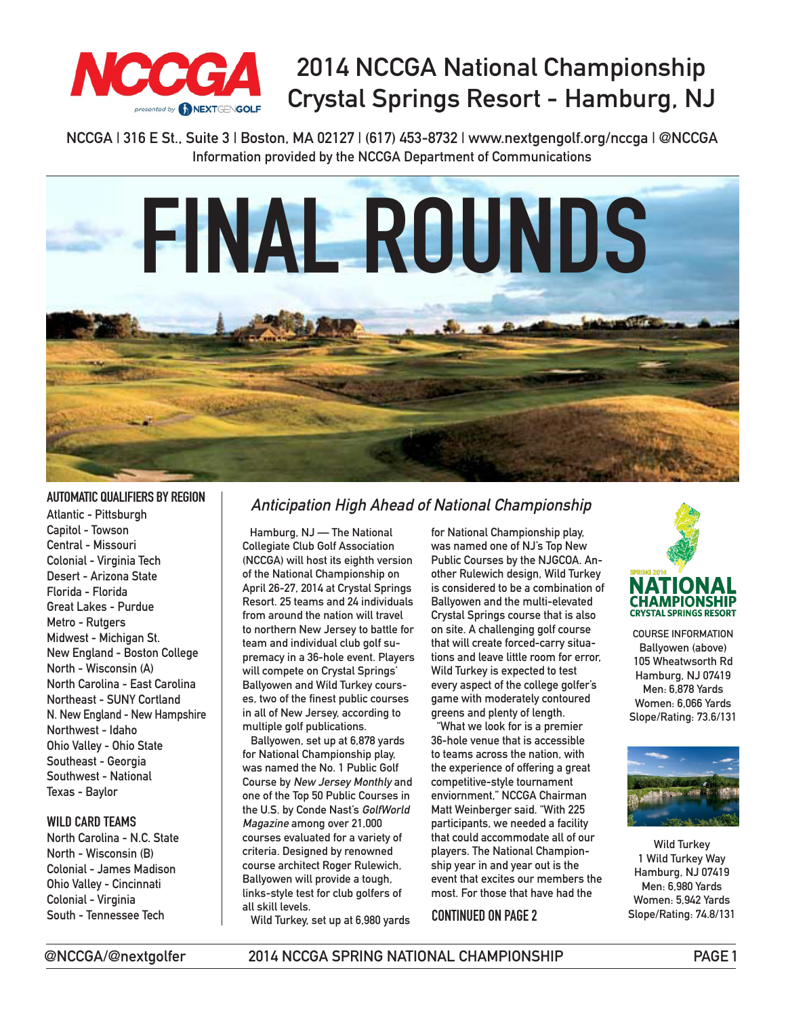

# **2014 NCCGA National Championship Crystal Springs Resort - Hamburg, NJ**

**NCCGA | 316 E St., Suite 3 | Boston, MA 02127 | (617) 453-8732 | www.nextgengolf.org/nccga | @NCCGA Information provided by the NCCGA Department of Communications**



### **AUTOMATIC QUALIFIERS BY REGION**

**Atlantic - Pittsburgh Capitol - Towson Central - Missouri Colonial - Virginia Tech Desert - Arizona State Florida - Florida Great Lakes - Purdue Metro - Rutgers Midwest - Michigan St. New England - Boston College North - Wisconsin (A) North Carolina - East Carolina Northeast - SUNY Cortland N. New England - New Hampshire Northwest - Idaho Ohio Valley - Ohio State Southeast - Georgia Southwest - National Texas - Baylor**

#### **WILD CARD TEAMS**

**North Carolina - N.C. State North - Wisconsin (B) Colonial - James Madison Ohio Valley - Cincinnati Colonial - Virginia South - Tennessee Tech**

### **Anticipation High Ahead of National Championship**

 **Hamburg, NJ — The National Collegiate Club Golf Association (NCCGA) will host its eighth version of the National Championship on April 26-27, 2014 at Crystal Springs Resort. 25 teams and 24 individuals from around the nation will travel to northern New Jersey to battle for team and individual club golf supremacy in a 36-hole event. Players will compete on Crystal Springs' Ballyowen and Wild Turkey courses, two of the finest public courses in all of New Jersey, according to multiple golf publications.**

 **Ballyowen, set up at 6,878 yards for National Championship play, was named the No. 1 Public Golf Course by New Jersey Monthly and one of the Top 50 Public Courses in the U.S. by Conde Nast's GolfWorld Magazine among over 21,000 courses evaluated for a variety of criteria. Designed by renowned course architect Roger Rulewich, Ballyowen will provide a tough, links-style test for club golfers of all skill levels.**

 **Wild Turkey, set up at 6,980 yards** 

**for National Championship play, was named one of NJ's Top New Public Courses by the NJGCOA. Another Rulewich design, Wild Turkey is considered to be a combination of Ballyowen and the multi-elevated Crystal Springs course that is also on site. A challenging golf course that will create forced-carry situations and leave little room for error, Wild Turkey is expected to test every aspect of the college golfer's game with moderately contoured greens and plenty of length.**

 **"What we look for is a premier 36-hole venue that is accessible to teams across the nation, with the experience of offering a great competitive-style tournament enviornment," NCCGA Chairman Matt Weinberger said. "With 225 participants, we needed a facility that could accommodate all of our players. The National Championship year in and year out is the event that excites our members the most. For those that have had the** 

#### **CONTINUED ON PAGE 2**



**COURSE INFORMATION Ballyowen (above) 105 Wheatwsorth Rd Hamburg, NJ 07419 Men: 6,878 Yards Women: 6,066 Yards Slope/Rating: 73.6/131**



**Wild Turkey 1 Wild Turkey Way Hamburg, NJ 07419 Men: 6,980 Yards Women: 5,942 Yards Slope/Rating: 74.8/131**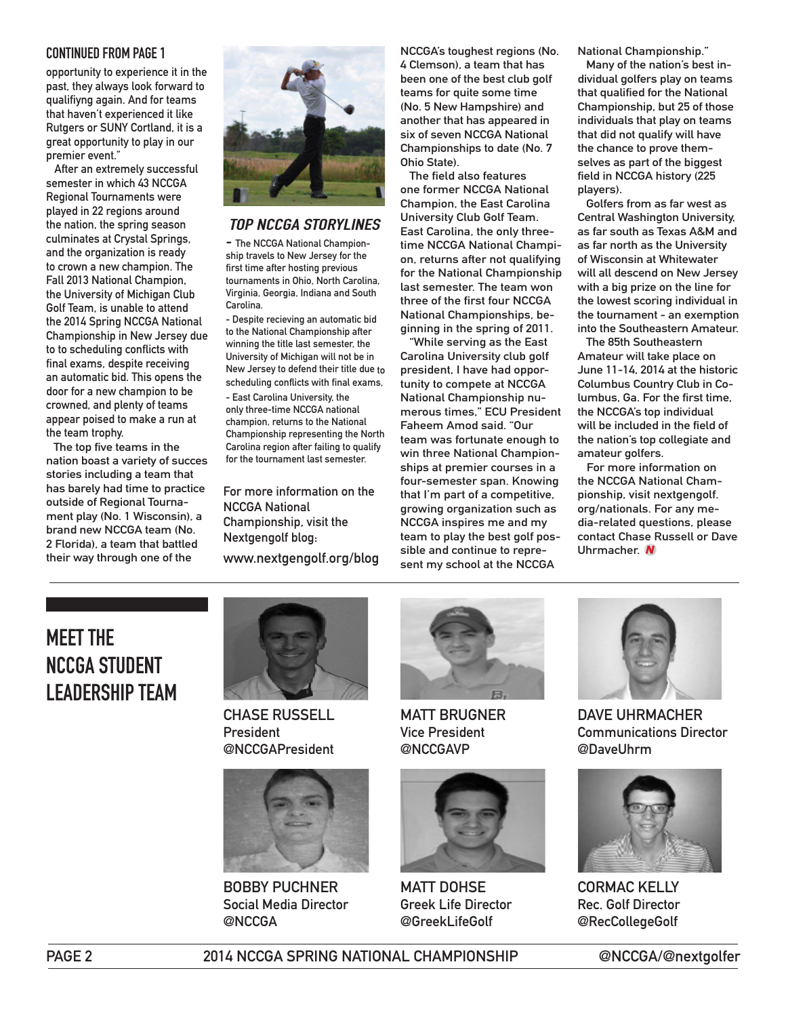#### **CONTINUED FROM PAGE 1**

**opportunity to experience it in the past, they always look forward to qualifiyng again. And for teams that haven't experienced it like Rutgers or SUNY Cortland, it is a great opportunity to play in our premier event."**

 **After an extremely successful semester in which 43 NCCGA Regional Tournaments were played in 22 regions around the nation, the spring season culminates at Crystal Springs, and the organization is ready to crown a new champion. The Fall 2013 National Champion, the University of Michigan Club Golf Team, is unable to attend the 2014 Spring NCCGA National Championship in New Jersey due to to scheduling conflicts with final exams, despite receiving an automatic bid. This opens the door for a new champion to be crowned, and plenty of teams appear poised to make a run at the team trophy.**

 **The top five teams in the nation boast a variety of succes stories including a team that has barely had time to practice outside of Regional Tournament play (No. 1 Wisconsin), a brand new NCCGA team (No. 2 Florida), a team that battled their way through one of the** 



#### **TOP NCCGA STORYLINES**

**- The NCCGA National Championship travels to New Jersey for the first time after hosting previous tournaments in Ohio, North Carolina, Virginia, Georgia, Indiana and South Carolina.**

**- Despite recieving an automatic bid to the National Championship after winning the title last semester, the University of Michigan will not be in New Jersey to defend their title due to scheduling conflicts with final exams, - East Carolina University, the only three-time NCCGA national champion, returns to the National Championship representing the North Carolina region after failing to qualify for the tournament last semester.**

**For more information on the NCCGA National Championship, visit the Nextgengolf blog: www.nextgengolf.org/blog** **NCCGA's toughest regions (No. 4 Clemson), a team that has been one of the best club golf teams for quite some time (No. 5 New Hampshire) and another that has appeared in six of seven NCCGA National Championships to date (No. 7 Ohio State).** 

 **The field also features one former NCCGA National Champion, the East Carolina University Club Golf Team. East Carolina, the only threetime NCCGA National Champion, returns after not qualifying for the National Championship last semester. The team won three of the first four NCCGA National Championships, beginning in the spring of 2011.**

 **"While serving as the East Carolina University club golf president, I have had opportunity to compete at NCCGA National Championship numerous times," ECU President Faheem Amod said. "Our team was fortunate enough to win three National Championships at premier courses in a four-semester span. Knowing that I'm part of a competitive, growing organization such as NCCGA inspires me and my team to play the best golf possible and continue to represent my school at the NCCGA** 

**National Championship."**

 **Many of the nation's best individual golfers play on teams that qualified for the National Championship, but 25 of those individuals that play on teams that did not qualify will have the chance to prove themselves as part of the biggest field in NCCGA history (225 players).**

 **Golfers from as far west as Central Washington University, as far south as Texas A&M and as far north as the University of Wisconsin at Whitewater will all descend on New Jersey with a big prize on the line for the lowest scoring individual in the tournament - an exemption into the Southeastern Amateur.** 

 **The 85th Southeastern Amateur will take place on June 11-14, 2014 at the historic Columbus Country Club in Columbus, Ga. For the first time, the NCCGA's top individual will be included in the field of the nation's top collegiate and amateur golfers.**

 **For more information on the NCCGA National Championship, visit nextgengolf. org/nationals. For any media-related questions, please contact Chase Russell or Dave Uhrmacher.** 

# **MEET THE NCCGA STUDENT LEADERSHIP TEAM**



**CHASE RUSSELL President @NCCGAPresident**



**BOBBY PUCHNER Social Media Director @NCCGA**



**MATT BRUGNER Vice President @NCCGAVP**



**MATT DOHSE Greek Life Director @GreekLifeGolf**



**DAVE UHRMACHER Communications Director @DaveUhrm**



**CORMAC KELLY Rec. Golf Director @RecCollegeGolf**

**PAGE 2 2014 NCCGA SPRING NATIONAL CHAMPIONSHIP @NCCGA/@nextgolfer**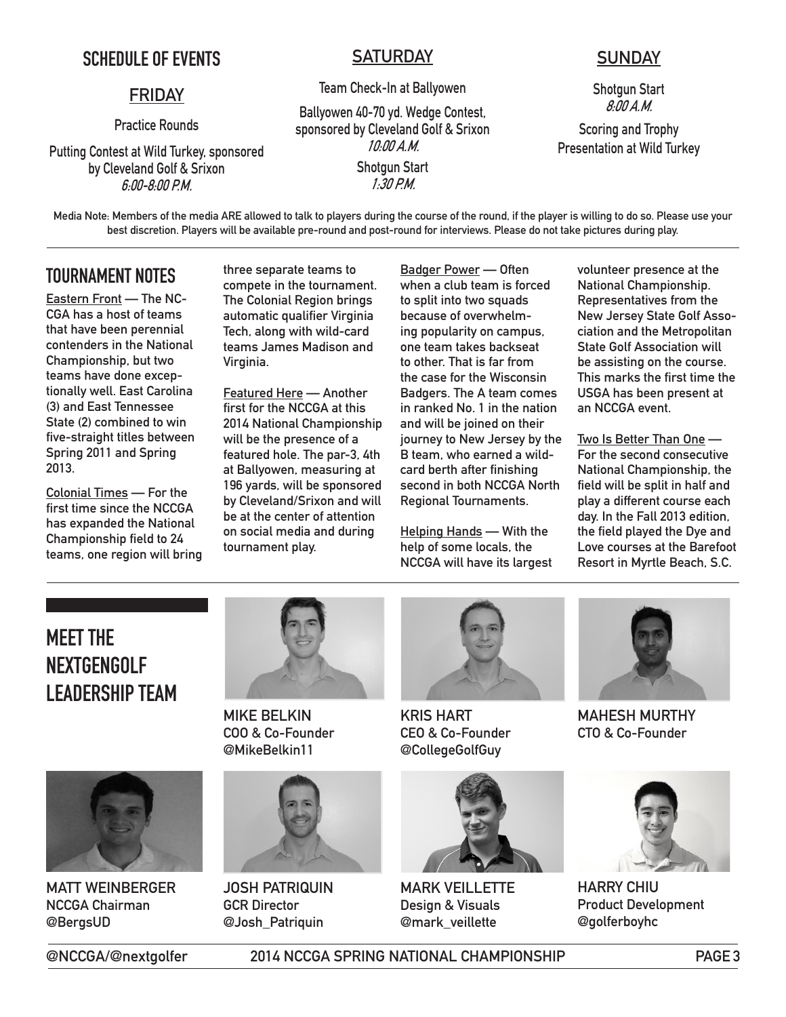## **SCHEDULE OF EVENTS**

### **FRIDAY**

**Practice Rounds**

**Putting Contest at Wild Turkey, sponsored by Cleveland Golf & Srixon 6:00-8:00 P.M.**

### **SATURDAY**

**Team Check-In at Ballyowen**

**Ballyowen 40-70 yd. Wedge Contest, sponsored by Cleveland Golf & Srixon 10:00 A.M. Shotgun Start 1:30 P.M.**

## **SUNDAY**

**Shotgun Start 8:00 A.M.**

**Scoring and Trophy Presentation at Wild Turkey**

**Media Note: Members of the media ARE allowed to talk to players during the course of the round, if the player is willing to do so. Please use your best discretion. Players will be available pre-round and post-round for interviews. Please do not take pictures during play.**

## **TOURNAMENT NOTES**

**Eastern Front — The NC-CGA has a host of teams that have been perennial contenders in the National Championship, but two teams have done exceptionally well. East Carolina (3) and East Tennessee State (2) combined to win five-straight titles between Spring 2011 and Spring 2013.**

**Colonial Times — For the first time since the NCCGA has expanded the National Championship field to 24 teams, one region will bring**  **three separate teams to compete in the tournament. The Colonial Region brings automatic qualifier Virginia Tech, along with wild-card teams James Madison and Virginia.** 

**Featured Here — Another first for the NCCGA at this 2014 National Championship will be the presence of a featured hole. The par-3, 4th at Ballyowen, measuring at 196 yards, will be sponsored by Cleveland/Srixon and will be at the center of attention on social media and during tournament play.**

**Badger Power — Often when a club team is forced to split into two squads because of overwhelming popularity on campus, one team takes backseat to other. That is far from the case for the Wisconsin Badgers. The A team comes in ranked No. 1 in the nation and will be joined on their journey to New Jersey by the B team, who earned a wildcard berth after finishing second in both NCCGA North Regional Tournaments.**

**Helping Hands — With the help of some locals, the NCCGA will have its largest**  **volunteer presence at the National Championship. Representatives from the New Jersey State Golf Association and the Metropolitan State Golf Association will be assisting on the course. This marks the first time the USGA has been present at an NCCGA event.**

**Two Is Better Than One — For the second consecutive National Championship, the field will be split in half and play a different course each day. In the Fall 2013 edition, the field played the Dye and Love courses at the Barefoot Resort in Myrtle Beach, S.C.**

# **MEET THE NEXTGENGOLF LEADERSHIP TEAM**



**MATT WEINBERGER NCCGA Chairman @BergsUD**



**MIKE BELKIN COO & Co-Founder @MikeBelkin11**



**JOSH PATRIQUIN GCR Director @Josh\_Patriquin**



**KRIS HART CEO & Co-Founder @CollegeGolfGuy**



**MARK VEILLETTE Design & Visuals @mark\_veillette**



**MAHESH MURTHY CTO & Co-Founder**



**HARRY CHIU Product Development @golferboyhc**

**@NCCGA/@nextgolfer 2014 NCCGA SPRING NATIONAL CHAMPIONSHIP PAGE 3**